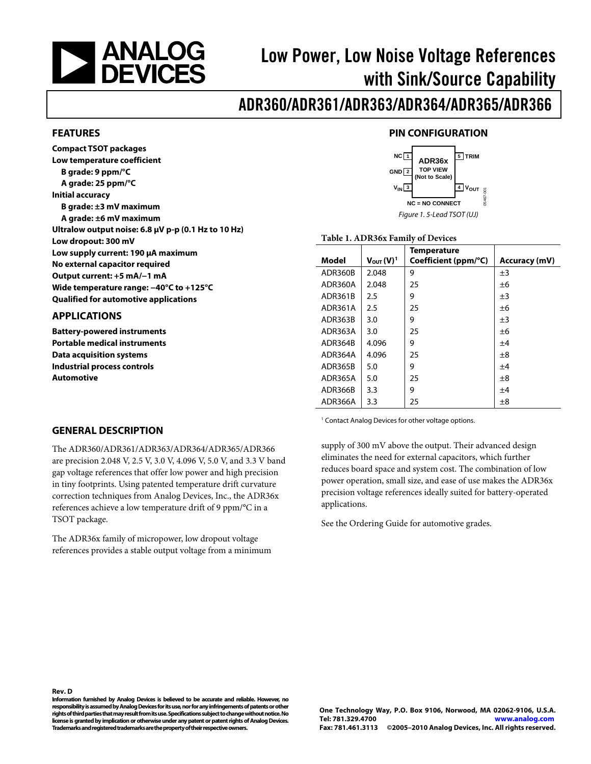<span id="page-0-0"></span>

# Low Power, Low Noise Voltage References with Sink/Source Capability

# ADR360/ADR361/ADR363/ADR364/ADR365/ADR366

#### **FEATURES**

**Compact TSOT packages Low temperature coefficient B grade: 9 ppm/°C A grade: 25 ppm/°C Initial accuracy B grade: ±3 mV maximum A grade: ±6 mV maximum Ultralow output noise: 6.8 μV p-p (0.1 Hz to 10 Hz) Low dropout: 300 mV Low supply current: 190 μA maximum No external capacitor required Output current: +5 mA/−1 mA Wide temperature range: −40°C to +125°C Qualified for automotive applications** 

#### **APPLICATIONS**

**Battery-powered instruments Portable medical instruments Data acquisition systems Industrial process controls Automotive** 

## **PIN CONFIGURATION**



#### **Table 1. ADR36x Family of Devices**

| Model   | $V_{\text{OUT}}(V)^1$ | Temperature<br>Coefficient (ppm/°C) | <b>Accuracy (mV)</b> |
|---------|-----------------------|-------------------------------------|----------------------|
| ADR360B | 2.048                 | 9                                   | ±3                   |
| ADR360A | 2.048                 | 25                                  | ±6                   |
| ADR361B | 2.5                   | 9                                   | $\pm 3$              |
| ADR361A | 2.5                   | 25                                  | ±б                   |
| ADR363B | 3.0                   | 9                                   | $\pm 3$              |
| ADR363A | 3.0                   | 25                                  | ±6                   |
| ADR364B | 4.096                 | 9                                   | ±4                   |
| ADR364A | 4.096                 | 25                                  | $\pm 8$              |
| ADR365B | 5.0                   | 9                                   | ±4                   |
| ADR365A | 5.0                   | 25                                  | ±8                   |
| ADR366B | 3.3                   | 9                                   | ±4                   |
| ADR366A | 3.3                   | 25                                  | $\pm 8$              |

<sup>1</sup> Contact Analog Devices for other voltage options.

supply of 300 mV above the output. Their advanced design eliminates the need for external capacitors, which further reduces board space and system cost. The combination of low power operation, small size, and ease of use makes the ADR36x precision voltage references ideally suited for battery-operated applications.

See the [Ordering Guide](#page-19-1) for automotive grades.

#### **GENERAL DESCRIPTION**

The ADR360/ADR361/ADR363/ADR364/ADR365/ADR366 are precision 2.048 V, 2.5 V, 3.0 V, 4.096 V, 5.0 V, and 3.3 V band gap voltage references that offer low power and high precision in tiny footprints. Using patented temperature drift curvature correction techniques from Analog Devices, Inc., the ADR36x references achieve a low temperature drift of 9 ppm/°C in a TSOT package.

The ADR36x family of micropower, low dropout voltage references provides a stable output voltage from a minimum

**Rev. D** 

**Information furnished by Analog Devices is believed to be accurate and reliable. However, no responsibility is assumed by Analog Devices for its use, nor for any infringements of patents or other rights of third parties that may result from its use. Specifications subject to change without notice. No license is granted by implication or otherwise under any patent or patent rights of Analog Devices. Trademarks and registered trademarks are the property of their respective owners.**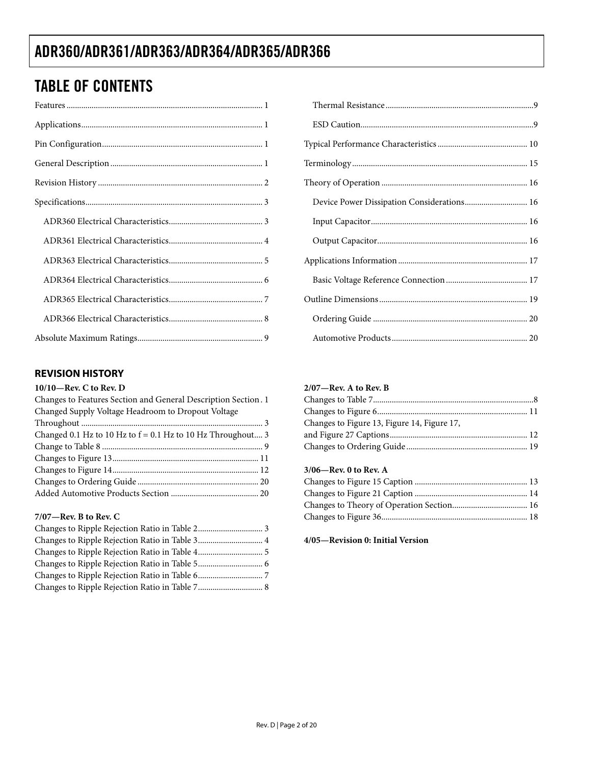# <span id="page-1-0"></span>TABLE OF CONTENTS

## **REVISION HISTORY**

#### **10/10—Rev. C to Rev. D**

| Changes to Features Section and General Description Section. 1 |
|----------------------------------------------------------------|
| Changed Supply Voltage Headroom to Dropout Voltage             |
|                                                                |
| Changed 0.1 Hz to 10 Hz to $f = 0.1$ Hz to 10 Hz Throughout 3  |
|                                                                |
|                                                                |
|                                                                |
|                                                                |
|                                                                |
|                                                                |

### **7/07—Rev. B to Rev. C**

| Changes to Ripple Rejection Ratio in Table 3 4 |  |
|------------------------------------------------|--|
|                                                |  |
|                                                |  |
|                                                |  |
|                                                |  |

## **2/07—Rev. A to Rev. B**

| Changes to Figure 13, Figure 14, Figure 17, |  |
|---------------------------------------------|--|
|                                             |  |
|                                             |  |

### **3/06—Rev. 0 to Rev. A**

**4/05—Revision 0: Initial Version**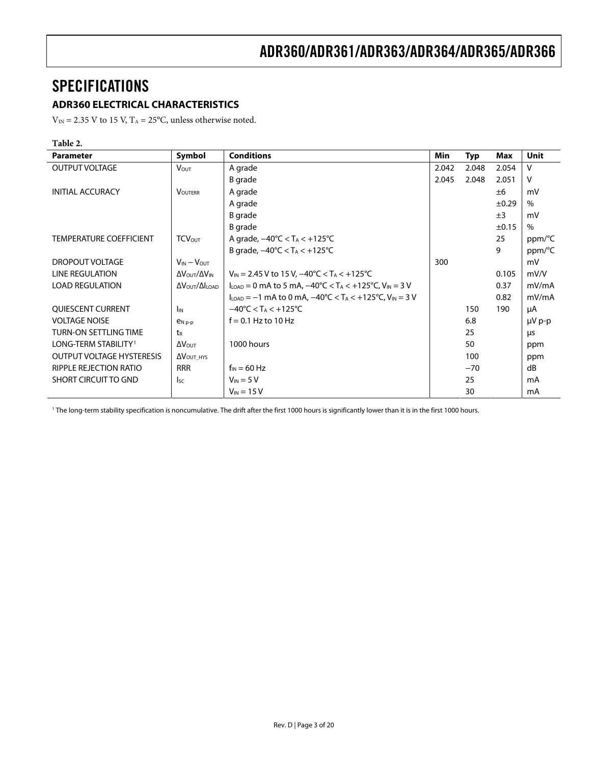# <span id="page-2-0"></span>SPECIFICATIONS

## **ADR360 ELECTRICAL CHARACTERISTICS**

 $V_{\text{IN}}$  = 2.35 V to 15 V, T<sub>A</sub> = 25°C, unless otherwise noted.

#### **Table 2.**

| <b>Parameter</b>                 | Symbol                                       | <b>Conditions</b>                                                                                                               | Min   | <b>Typ</b> | Max        | Unit        |
|----------------------------------|----------------------------------------------|---------------------------------------------------------------------------------------------------------------------------------|-------|------------|------------|-------------|
| OUTPUT VOLTAGE                   | <b>VOUT</b>                                  | A grade                                                                                                                         | 2.042 | 2.048      | 2.054      | v           |
|                                  |                                              | B grade                                                                                                                         | 2.045 | 2.048      | 2.051      | v           |
| <b>INITIAL ACCURACY</b>          | <b>VOUTERR</b>                               | A grade                                                                                                                         |       |            | ±6         | mV          |
|                                  |                                              | A grade                                                                                                                         |       |            | ±0.29      | $\%$        |
|                                  |                                              | B grade                                                                                                                         |       |            | ±3         | mV          |
|                                  |                                              | <b>B</b> grade                                                                                                                  |       |            | $\pm 0.15$ | $\%$        |
| <b>TEMPERATURE COEFFICIENT</b>   | <b>TCV</b> <sub>OUT</sub>                    | A grade, $-40^{\circ}$ C < T <sub>A</sub> < $+125^{\circ}$ C                                                                    |       |            | 25         | ppm/°C      |
|                                  |                                              | B grade, $-40^{\circ}C < T_A < +125^{\circ}C$                                                                                   |       |            | 9          | ppm/°C      |
| DROPOUT VOLTAGE                  | $V_{IN} - V_{OUT}$                           |                                                                                                                                 | 300   |            |            | mV          |
| LINE REGULATION                  | $\Delta V_{\text{OUT}}/\Delta V_{\text{IN}}$ | $V_{IN}$ = 2.45 V to 15 V, $-40^{\circ}$ C < T <sub>A</sub> < +125 °C                                                           |       |            | 0.105      | mV/V        |
| <b>LOAD REGULATION</b>           | $\Delta V$ OUT $/\Delta I$ LOAD              | $I_{\text{LOAD}} = 0$ mA to 5 mA, $-40^{\circ}$ C < T <sub>A</sub> < $+125^{\circ}$ C, V <sub>IN</sub> = 3 V                    |       |            | 0.37       | mV/mA       |
|                                  |                                              | $I_{\text{LOAD}} = -1 \text{ mA}$ to 0 mA, $-40^{\circ} \text{C} < T_A < +125^{\circ} \text{C}$ , $V_{\text{IN}} = 3 \text{ V}$ |       |            | 0.82       | mV/mA       |
| <b>QUIESCENT CURRENT</b>         | I <sub>IN</sub>                              | $-40^{\circ}$ C < T <sub>A</sub> < $+125^{\circ}$ C                                                                             |       | 150        | 190        | μA          |
| <b>VOLTAGE NOISE</b>             | $P_{N,p-p}$                                  | $f = 0.1$ Hz to 10 Hz                                                                                                           |       | 6.8        |            | $\mu V$ p-p |
| <b>TURN-ON SETTLING TIME</b>     | t <sub>R</sub>                               |                                                                                                                                 |       | 25         |            | μs          |
| LONG-TERM STABILITY <sup>1</sup> | $\Delta V_{\text{OUT}}$                      | 1000 hours                                                                                                                      |       | 50         |            | ppm         |
| <b>OUTPUT VOLTAGE HYSTERESIS</b> | $\Delta V_{\text{OUT HYS}}$                  |                                                                                                                                 |       | 100        |            | ppm         |
| RIPPLE REJECTION RATIO           | <b>RRR</b>                                   | $f_{IN} = 60$ Hz                                                                                                                |       | $-70$      |            | dB          |
| SHORT CIRCUIT TO GND             | $I_{SC}$                                     | $V_{IN} = 5 V$                                                                                                                  |       | 25         |            | mA          |
|                                  |                                              | $V_{IN}$ = 15 V                                                                                                                 |       | 30         |            | mA          |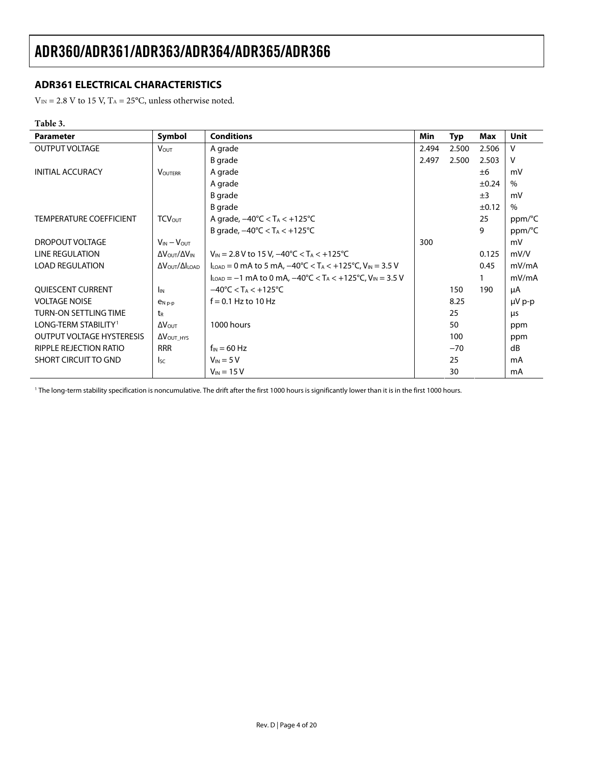## <span id="page-3-0"></span>**ADR361 ELECTRICAL CHARACTERISTICS**

 $V_{\rm IN}$  = 2.8 V to 15 V, T<sub>A</sub> = 25°C, unless otherwise noted.

### **Table 3.**

| <b>Parameter</b>                 | Symbol                                         | <b>Conditions</b>                                                                                               | Min   | <b>Typ</b> | Max        | Unit        |
|----------------------------------|------------------------------------------------|-----------------------------------------------------------------------------------------------------------------|-------|------------|------------|-------------|
| <b>OUTPUT VOLTAGE</b>            | <b>Vout</b>                                    | A grade                                                                                                         | 2.494 | 2.500      | 2.506      | v           |
|                                  |                                                | B grade                                                                                                         | 2.497 | 2.500      | 2.503      | v           |
| <b>INITIAL ACCURACY</b>          | <b>VOUTERR</b>                                 | A grade                                                                                                         |       |            | ±6         | mV          |
|                                  |                                                | A grade                                                                                                         |       |            | $\pm 0.24$ | $\%$        |
|                                  |                                                | <b>B</b> grade                                                                                                  |       |            | ±3         | mV          |
|                                  |                                                | B grade                                                                                                         |       |            | $\pm 0.12$ | $\%$        |
| <b>TEMPERATURE COEFFICIENT</b>   | <b>TCVOUT</b>                                  | A grade, $-40^{\circ}$ C < T <sub>A</sub> < $+125^{\circ}$ C                                                    |       |            | 25         | ppm/°C      |
|                                  |                                                | B grade, $-40^{\circ}$ C < T <sub>A</sub> < $+125^{\circ}$ C                                                    |       |            | 9          | ppm/°C      |
| DROPOUT VOLTAGE                  | $V_{IN} - V_{OUT}$                             |                                                                                                                 | 300   |            |            | mV          |
| <b>LINE REGULATION</b>           | ΔVOUT/ΔVIN                                     | $V_{\text{IN}}$ = 2.8 V to 15 V, $-40^{\circ}$ C < T <sub>A</sub> < +125 °C                                     |       |            | 0.125      | mV/V        |
| <b>LOAD REGULATION</b>           | $\Delta V_{\text{OUT}}/\Delta I_{\text{LOAD}}$ | $I_{\text{LOAD}} = 0$ mA to 5 mA, $-40^{\circ}$ C < T <sub>A</sub> < $+125^{\circ}$ C, V <sub>IN</sub> = 3.5 V  |       |            | 0.45       | mV/mA       |
|                                  |                                                | $I_{\text{LOAD}} = -1$ mA to 0 mA, $-40^{\circ}$ C < T <sub>A</sub> < $+125^{\circ}$ C, V <sub>IN</sub> = 3.5 V |       |            |            | mV/mA       |
| <b>OUIESCENT CURRENT</b>         | <b>I<sub>IN</sub></b>                          | $-40^{\circ}$ C < T <sub>A</sub> < $+125^{\circ}$ C                                                             |       | 150        | 190        | μA          |
| <b>VOLTAGE NOISE</b>             | $P_{N,p-p}$                                    | $f = 0.1$ Hz to 10 Hz                                                                                           |       | 8.25       |            | $\mu V$ p-p |
| <b>TURN-ON SETTLING TIME</b>     | t <sub>R</sub>                                 |                                                                                                                 |       | 25         |            | μs          |
| LONG-TERM STABILITY <sup>1</sup> | $\Delta V_{\text{OUT}}$                        | 1000 hours                                                                                                      |       | 50         |            | ppm         |
| <b>OUTPUT VOLTAGE HYSTERESIS</b> | $\Delta V_{\text{OUT HYS}}$                    |                                                                                                                 |       | 100        |            | ppm         |
| RIPPLE REJECTION RATIO           | <b>RRR</b>                                     | $f_{IN} = 60$ Hz                                                                                                |       | $-70$      |            | dB          |
| <b>SHORT CIRCUIT TO GND</b>      | <sub>sc</sub>                                  | $V_{IN}$ = 5 V                                                                                                  |       | 25         |            | mA          |
|                                  |                                                | $V_{IN}$ = 15 V                                                                                                 |       | 30         |            | mA          |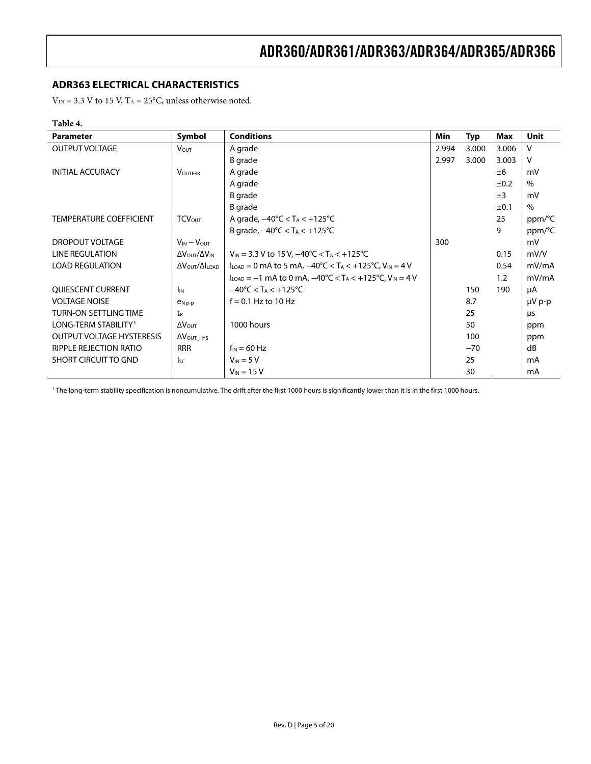## <span id="page-4-0"></span>**ADR363 ELECTRICAL CHARACTERISTICS**

 $V_{IN}$  = 3.3 V to 15 V, T<sub>A</sub> = 25°C, unless otherwise noted.

### **Table 4.**

| <b>Parameter</b>                 | Symbol                                         | <b>Conditions</b>                                                                                             | Min   | <b>Typ</b> | Max       | Unit        |
|----------------------------------|------------------------------------------------|---------------------------------------------------------------------------------------------------------------|-------|------------|-----------|-------------|
| <b>OUTPUT VOLTAGE</b>            | <b>V</b> <sub>OUT</sub>                        | A grade                                                                                                       | 2.994 | 3.000      | 3.006     | v           |
|                                  |                                                | B grade                                                                                                       | 2.997 | 3.000      | 3.003     | v           |
| <b>INITIAL ACCURACY</b>          | <b>VOUTERR</b>                                 | A grade                                                                                                       |       |            | ±6        | mV          |
|                                  |                                                | A grade                                                                                                       |       |            | $\pm 0.2$ | $\%$        |
|                                  |                                                | <b>B</b> grade                                                                                                |       |            | ±3        | mV          |
|                                  |                                                | B grade                                                                                                       |       |            | ±0.1      | $\%$        |
| <b>TEMPERATURE COEFFICIENT</b>   | <b>TCVOUT</b>                                  | A grade, $-40^{\circ}$ C < T <sub>A</sub> < $+125^{\circ}$ C                                                  |       |            | 25        | ppm/°C      |
|                                  |                                                | B grade, $-40^{\circ}$ C < T <sub>A</sub> < $+125^{\circ}$ C                                                  |       |            | 9         | ppm/°C      |
| DROPOUT VOLTAGE                  | $V_{IN} - V_{OUT}$                             |                                                                                                               | 300   |            |           | mV          |
| <b>LINE REGULATION</b>           | Δ V OUT / Δ V IN                               | $V_{\text{IN}}$ = 3.3 V to 15 V, $-40^{\circ}$ C < T <sub>A</sub> < +125 °C                                   |       |            | 0.15      | mV/V        |
| <b>LOAD REGULATION</b>           | $\Delta V_{\text{OUT}}/\Delta I_{\text{LOAD}}$ | $I_{\text{LOAD}} = 0$ mA to 5 mA, $-40^{\circ}$ C < T <sub>A</sub> < +125 °C, V <sub>IN</sub> = 4 V           |       |            | 0.54      | mV/mA       |
|                                  |                                                | $I_{\text{LOAD}} = -1$ mA to 0 mA, $-40^{\circ}$ C < T <sub>A</sub> < $+125^{\circ}$ C, V <sub>IN</sub> = 4 V |       |            | 1.2       | mV/mA       |
| <b>OUIESCENT CURRENT</b>         | <b>I<sub>IN</sub></b>                          | $-40^{\circ}$ C < T <sub>A</sub> < $+125^{\circ}$ C                                                           |       | 150        | 190       | μA          |
| <b>VOLTAGE NOISE</b>             | $P_N$ <sub>p-p</sub>                           | $f = 0.1$ Hz to 10 Hz                                                                                         |       | 8.7        |           | $\mu V$ p-p |
| <b>TURN-ON SETTLING TIME</b>     | $t_{R}$                                        |                                                                                                               |       | 25         |           | μs          |
| LONG-TERM STABILITY <sup>1</sup> | $\Delta V_{\text{OUT}}$                        | 1000 hours                                                                                                    |       | 50         |           | ppm         |
| <b>OUTPUT VOLTAGE HYSTERESIS</b> | $\Delta V_{\text{OUT\_HYS}}$                   |                                                                                                               |       | 100        |           | ppm         |
| RIPPLE REJECTION RATIO           | <b>RRR</b>                                     | $f_{IN} = 60$ Hz                                                                                              |       | $-70$      |           | dB          |
| <b>SHORT CIRCUIT TO GND</b>      | $\mathsf{lsc}$                                 | $V_{IN}$ = 5 V                                                                                                |       | 25         |           | mA          |
|                                  |                                                | $V_{IN}$ = 15 V                                                                                               |       | 30         |           | mA          |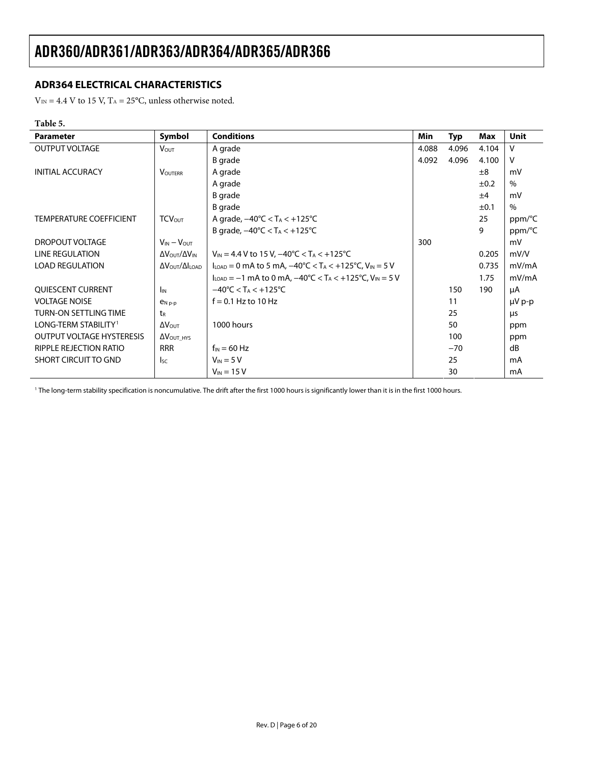## <span id="page-5-0"></span>**ADR364 ELECTRICAL CHARACTERISTICS**

 $V_{\rm IN}$  = 4.4 V to 15 V, T<sub>A</sub> = 25°C, unless otherwise noted.

### **Table 5.**

| <b>Parameter</b>                 | Symbol                                   | <b>Conditions</b>                                                                                                      | Min   | <b>Typ</b> | Max       | Unit        |
|----------------------------------|------------------------------------------|------------------------------------------------------------------------------------------------------------------------|-------|------------|-----------|-------------|
| <b>OUTPUT VOLTAGE</b>            | <b>VOUT</b>                              | A grade                                                                                                                | 4.088 | 4.096      | 4.104     | v           |
|                                  |                                          | B grade                                                                                                                | 4.092 | 4.096      | 4.100     | v           |
| <b>INITIAL ACCURACY</b>          | <b>VOUTERR</b>                           | A grade                                                                                                                |       |            | ±8        | mV          |
|                                  |                                          | A grade                                                                                                                |       |            | $\pm 0.2$ | %           |
|                                  |                                          | <b>B</b> grade                                                                                                         |       |            | ±4        | mV          |
|                                  |                                          | B grade                                                                                                                |       |            | ±0.1      | $\%$        |
| <b>TEMPERATURE COEFFICIENT</b>   | <b>TCV</b> <sub>OUT</sub>                | A grade, $-40^{\circ}$ C < T <sub>A</sub> < $+125^{\circ}$ C                                                           |       |            | 25        | ppm/°C      |
|                                  |                                          | B grade, $-40^{\circ}$ C < T <sub>A</sub> < $+125^{\circ}$ C                                                           |       |            | 9         | ppm/°C      |
| DROPOUT VOLTAGE                  | $V_{IN} - V_{OUT}$                       |                                                                                                                        | 300   |            |           | mV          |
| LINE REGULATION                  | ΔVουτ/ΔVιΝ                               | $V_{\text{IN}} = 4.4$ V to 15 V, $-40^{\circ}$ C < T <sub>A</sub> < +125 °C                                            |       |            | 0.205     | mV/V        |
| <b>LOAD REGULATION</b>           | $\Delta V_{\rm OUT}/\Delta I_{\rm LOAD}$ | $I_{\text{LOAD}} = 0$ mA to 5 mA, $-40^{\circ}$ C < T <sub>A</sub> < $+125^{\circ}$ C, V <sub>IN</sub> = 5 V           |       |            | 0.735     | mV/mA       |
|                                  |                                          | $I_{\text{LOAD}} = -1 \text{ mA}$ to 0 mA, $-40^{\circ}$ C < T <sub>A</sub> < +125 $^{\circ}$ C, V <sub>IN</sub> = 5 V |       |            | 1.75      | mV/mA       |
| <b>OUIESCENT CURRENT</b>         | $I_{IN}$                                 | $-40^{\circ}$ C < T <sub>A</sub> < $+125^{\circ}$ C                                                                    |       | 150        | 190       | μA          |
| <b>VOLTAGE NOISE</b>             | $P_{N,p-p}$                              | $f = 0.1$ Hz to 10 Hz                                                                                                  |       | 11         |           | $\mu V$ p-p |
| <b>TURN-ON SETTLING TIME</b>     | t <sub>R</sub>                           |                                                                                                                        |       | 25         |           | μs          |
| LONG-TERM STABILITY <sup>1</sup> | $\Delta V_{\text{OUT}}$                  | 1000 hours                                                                                                             |       | 50         |           | ppm         |
| <b>OUTPUT VOLTAGE HYSTERESIS</b> | $\Delta V_{\text{OUT\_HYS}}$             |                                                                                                                        |       | 100        |           | ppm         |
| RIPPLE REJECTION RATIO           | <b>RRR</b>                               | $f_{IN} = 60$ Hz                                                                                                       |       | $-70$      |           | dB          |
| <b>SHORT CIRCUIT TO GND</b>      | <sub>sc</sub>                            | $V_{IN} = 5 V$                                                                                                         |       | 25         |           | mA          |
|                                  |                                          | $V_{IN}$ = 15 V                                                                                                        |       | 30         |           | mA          |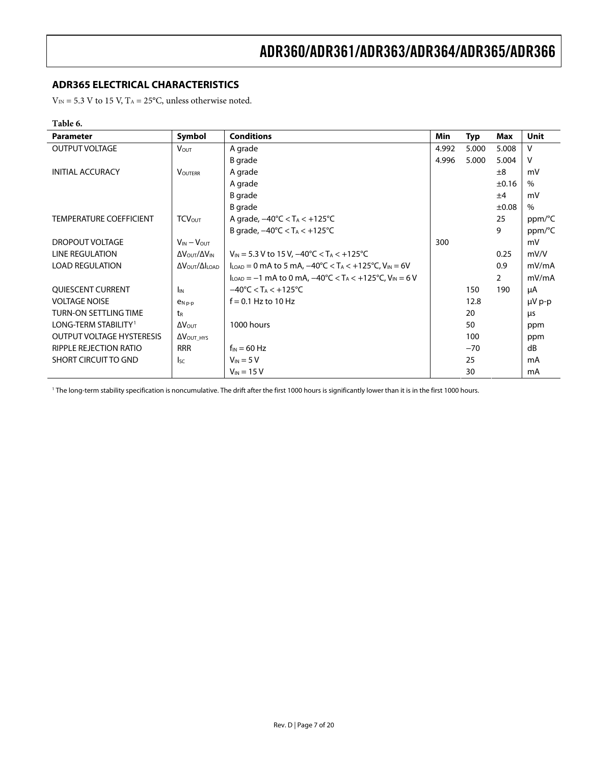## <span id="page-6-0"></span>**ADR365 ELECTRICAL CHARACTERISTICS**

 $V_{\rm IN}$  = 5.3 V to 15 V, T<sub>A</sub> = 25°C, unless otherwise noted.

### **Table 6.**

| <b>Parameter</b>                 | Symbol                                         | <b>Conditions</b>                                                                                                | Min   | <b>Typ</b> | Max        | Unit          |
|----------------------------------|------------------------------------------------|------------------------------------------------------------------------------------------------------------------|-------|------------|------------|---------------|
| <b>OUTPUT VOLTAGE</b>            | <b>VOUT</b>                                    | A grade                                                                                                          | 4.992 | 5.000      | 5.008      | v             |
|                                  |                                                | B grade                                                                                                          | 4.996 | 5.000      | 5.004      | ٧             |
| <b>INITIAL ACCURACY</b>          | <b>VOUTERR</b>                                 | A grade                                                                                                          |       |            | ±8         | mV            |
|                                  |                                                | A grade                                                                                                          |       |            | $\pm 0.16$ | $\%$          |
|                                  |                                                | B grade                                                                                                          |       |            | ±4         | mV            |
|                                  |                                                | B grade                                                                                                          |       |            | $\pm 0.08$ | $\frac{0}{0}$ |
| <b>TEMPERATURE COEFFICIENT</b>   | <b>TCVOUT</b>                                  | A grade, $-40^{\circ}$ C < T <sub>A</sub> < $+125^{\circ}$ C                                                     |       |            | 25         | ppm/°C        |
|                                  |                                                | B grade, $-40^{\circ}$ C < T <sub>A</sub> < $+125^{\circ}$ C                                                     |       |            | 9          | ppm/°C        |
| DROPOUT VOLTAGE                  | $V_{IN} - V_{OUT}$                             |                                                                                                                  | 300   |            |            | mV            |
| LINE REGULATION                  | Δ V OUT / Δ V IN                               | $V_{IN}$ = 5.3 V to 15 V, -40°C < T <sub>A</sub> < +125°C                                                        |       |            | 0.25       | mV/V          |
| <b>LOAD REGULATION</b>           | $\Delta V_{\text{OUT}}/\Delta I_{\text{LOAD}}$ | $I_{\text{LOAD}} = 0$ mA to 5 mA, $-40^{\circ}$ C < T <sub>A</sub> < $+125^{\circ}$ C, V <sub>IN</sub> = 6V      |       |            | 0.9        | mV/mA         |
|                                  |                                                | $I_{\text{LOAD}} = -1$ mA to 0 mA, $-40^{\circ}$ C < T <sub>A</sub> < +125 <sup>°</sup> C, V <sub>IN</sub> = 6 V |       |            | 2          | mV/mA         |
| <b>QUIESCENT CURRENT</b>         | <b>I</b> <sub>IN</sub>                         | $-40^{\circ}$ C < T <sub>A</sub> < +125 $^{\circ}$ C                                                             |       | 150        | 190        | μA            |
| <b>VOLTAGE NOISE</b>             | $P_N$ <sub>p-p</sub>                           | $f = 0.1$ Hz to 10 Hz                                                                                            |       | 12.8       |            | $\mu V$ p-p   |
| <b>TURN-ON SETTLING TIME</b>     | $t_{R}$                                        |                                                                                                                  |       | 20         |            | μs            |
| LONG-TERM STABILITY <sup>1</sup> | $\Delta V_{\text{OUT}}$                        | 1000 hours                                                                                                       |       | 50         |            | ppm           |
| <b>OUTPUT VOLTAGE HYSTERESIS</b> | $\Delta V_{\text{OUT HYS}}$                    |                                                                                                                  |       | 100        |            | ppm           |
| RIPPLE REJECTION RATIO           | <b>RRR</b>                                     | $f_{IN} = 60$ Hz                                                                                                 |       | $-70$      |            | dB            |
| SHORT CIRCUIT TO GND             | <sub>sc</sub>                                  | $V_{IN}$ = 5 V                                                                                                   |       | 25         |            | mA            |
|                                  |                                                | $V_{IN}$ = 15 V                                                                                                  |       | 30         |            | mA            |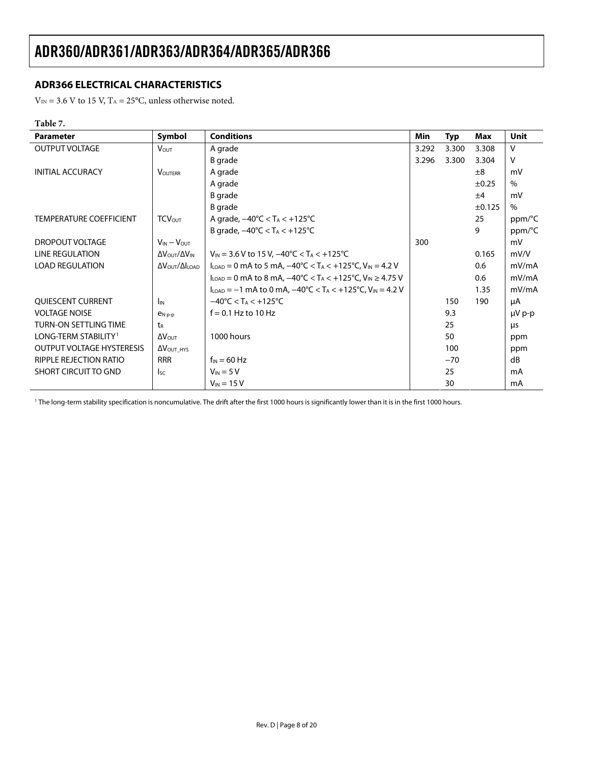## <span id="page-7-0"></span>**ADR366 ELECTRICAL CHARACTERISTICS**

 $V_{\rm IN}$  = 3.6 V to 15 V, T<sub>A</sub> = 25°C, unless otherwise noted.

#### **Table 7.**

| <b>Parameter</b>                 | Symbol                                         | <b>Conditions</b>                                                                                                    | Min   | <b>Typ</b> | Max        | Unit   |
|----------------------------------|------------------------------------------------|----------------------------------------------------------------------------------------------------------------------|-------|------------|------------|--------|
| <b>OUTPUT VOLTAGE</b>            | <b>Vout</b>                                    | A grade                                                                                                              | 3.292 | 3.300      | 3.308      | v      |
|                                  |                                                | B grade                                                                                                              | 3.296 | 3.300      | 3.304      | v      |
| <b>INITIAL ACCURACY</b>          | <b>VOUTERR</b>                                 | A grade                                                                                                              |       |            | $\pm 8$    | mV     |
|                                  |                                                | A grade                                                                                                              |       |            | $\pm 0.25$ | $\%$   |
|                                  |                                                | B grade                                                                                                              |       |            | ±4         | mV     |
|                                  |                                                | <b>B</b> grade                                                                                                       |       |            | ±0.125     | $\%$   |
| <b>TEMPERATURE COEFFICIENT</b>   | <b>TCVOUT</b>                                  | A grade, $-40^{\circ}$ C < T <sub>A</sub> < $+125^{\circ}$ C                                                         |       |            | 25         | ppm/°C |
|                                  |                                                | B grade, $-40^{\circ}$ C < T <sub>A</sub> < $+125^{\circ}$ C                                                         |       |            | 9          | ppm/°C |
| <b>DROPOUT VOLTAGE</b>           | $V_{IN} - V_{OUT}$                             |                                                                                                                      | 300   |            |            | mV     |
| LINE REGULATION                  | ΔV <sub>OUT</sub> /ΔV <sub>IN</sub>            | $V_{\text{IN}}$ = 3.6 V to 15 V, $-40^{\circ}$ C < T <sub>A</sub> < +125 °C                                          |       |            | 0.165      | mV/V   |
| <b>LOAD REGULATION</b>           | $\Delta V_{\text{OUT}}/\Delta I_{\text{LOAD}}$ | $I_{\text{LOAD}} = 0$ mA to 5 mA, $-40^{\circ}$ C < T <sub>A</sub> < $+125^{\circ}$ C, V <sub>IN</sub> = 4.2 V       |       |            | 0.6        | mV/mA  |
|                                  |                                                | $I_{\text{LOAD}} = 0$ mA to 8 mA, $-40^{\circ}$ C < T <sub>A</sub> < $+125^{\circ}$ C, V <sub>IN</sub> $\geq 4.75$ V |       |            | 0.6        | mV/mA  |
|                                  |                                                | $I_{\text{LOAD}} = -1$ mA to 0 mA, $-40^{\circ}$ C < T <sub>A</sub> < $+125^{\circ}$ C, V <sub>IN</sub> = 4.2 V      |       |            | 1.35       | mV/mA  |
| QUIESCENT CURRENT                | <b>I</b> IN                                    | $-40^{\circ}$ C < T <sub>A</sub> < $+125^{\circ}$ C                                                                  |       | 150        | 190        | μA     |
| <b>VOLTAGE NOISE</b>             | $e_{Np-p}$                                     | $f = 0.1$ Hz to 10 Hz                                                                                                |       | 9.3        |            | µV p-p |
| <b>TURN-ON SETTLING TIME</b>     | t <sub>R</sub>                                 |                                                                                                                      |       | 25         |            | μs     |
| LONG-TERM STABILITY <sup>1</sup> | $\Delta V_{\text{OUT}}$                        | 1000 hours                                                                                                           |       | 50         |            | ppm    |
| <b>OUTPUT VOLTAGE HYSTERESIS</b> | $\Delta V_{\text{OUT HYS}}$                    |                                                                                                                      |       | 100        |            | ppm    |
| RIPPLE REJECTION RATIO           | <b>RRR</b>                                     | $f_{IN} = 60$ Hz                                                                                                     |       | $-70$      |            | dB     |
| SHORT CIRCUIT TO GND             | $\mathsf{lsc}$                                 | $V_{IN} = 5 V$                                                                                                       |       | 25         |            | mA     |
|                                  |                                                | $V_{IN}$ = 15 V                                                                                                      |       | 30         |            | mA     |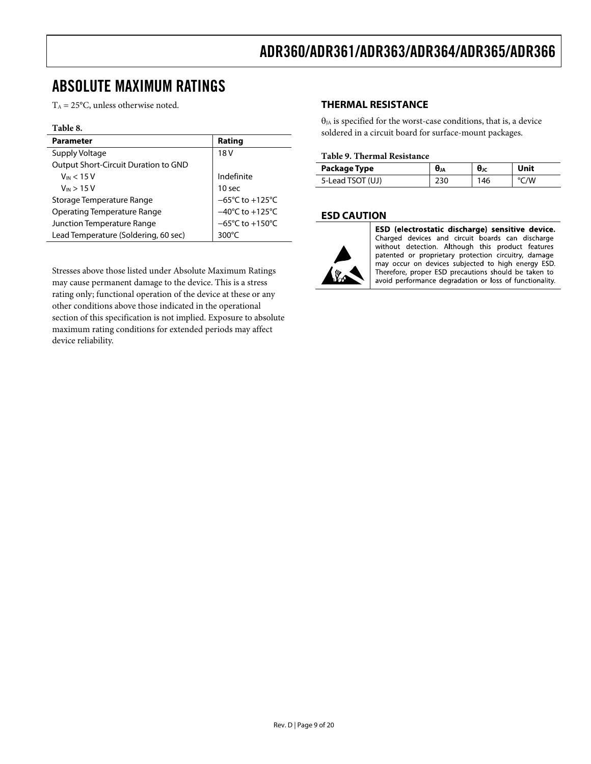# <span id="page-8-0"></span>ABSOLUTE MAXIMUM RATINGS

 $T_A = 25$ °C, unless otherwise noted.

#### **Table 8.**

| <b>Parameter</b>                     | Rating                               |
|--------------------------------------|--------------------------------------|
| Supply Voltage                       | 18 <sub>V</sub>                      |
| Output Short-Circuit Duration to GND |                                      |
| $V_{IN}$ < 15 V                      | Indefinite                           |
| $V_{IN}$ > 15 V                      | 10 <sub>sec</sub>                    |
| Storage Temperature Range            | $-65^{\circ}$ C to +125 $^{\circ}$ C |
| <b>Operating Temperature Range</b>   | $-40^{\circ}$ C to $+125^{\circ}$ C  |
| Junction Temperature Range           | $-65^{\circ}$ C to $+150^{\circ}$ C  |
| Lead Temperature (Soldering, 60 sec) | $300^{\circ}$ C                      |

Stresses above those listed under Absolute Maximum Ratings may cause permanent damage to the device. This is a stress rating only; functional operation of the device at these or any other conditions above those indicated in the operational section of this specification is not implied. Exposure to absolute maximum rating conditions for extended periods may affect device reliability.

#### **THERMAL RESISTANCE**

 $\theta_{JA}$  is specified for the worst-case conditions, that is, a device soldered in a circuit board for surface-mount packages.

#### **Table 9. Thermal Resistance**

| Package Type     | $\theta$ JA | θк | Jnit |
|------------------|-------------|----|------|
| 5-Lead TSOT (UJ) |             | 46 | /W   |

#### **ESD CAUTION**



ESD (electrostatic discharge) sensitive device. Charged devices and circuit boards can discharge without detection. Although this product features patented or proprietary protection circuitry, damage may occur on devices subjected to high energy ESD. Therefore, proper ESD precautions should be taken to avoid performance degradation or loss of functionality.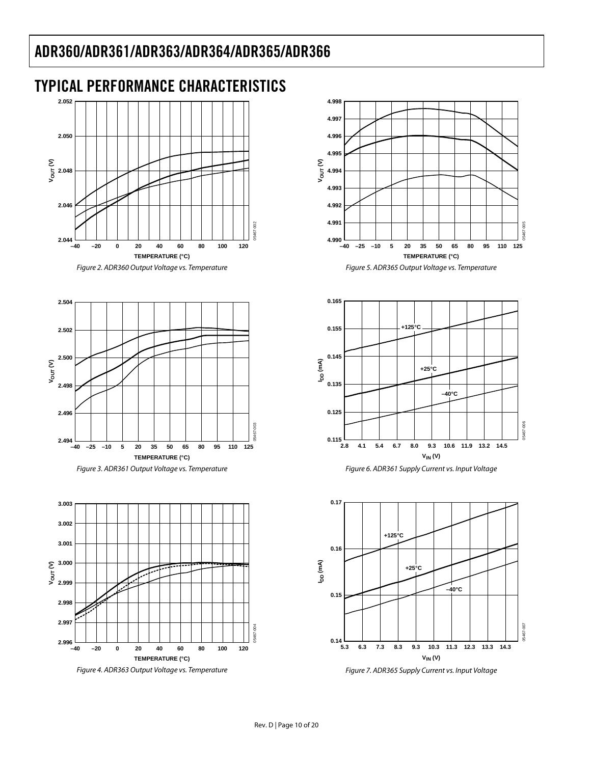# <span id="page-9-0"></span>TYPICAL PERFORMANCE CHARACTERISTICS



Figure 2. ADR360 Output Voltage vs. Temperature





Figure 4. ADR363 Output Voltage vs. Temperature



Figure 5. ADR365 Output Voltage vs. Temperature



![](_page_9_Figure_10.jpeg)

![](_page_9_Figure_11.jpeg)

Figure 7. ADR365 Supply Current vs. Input Voltage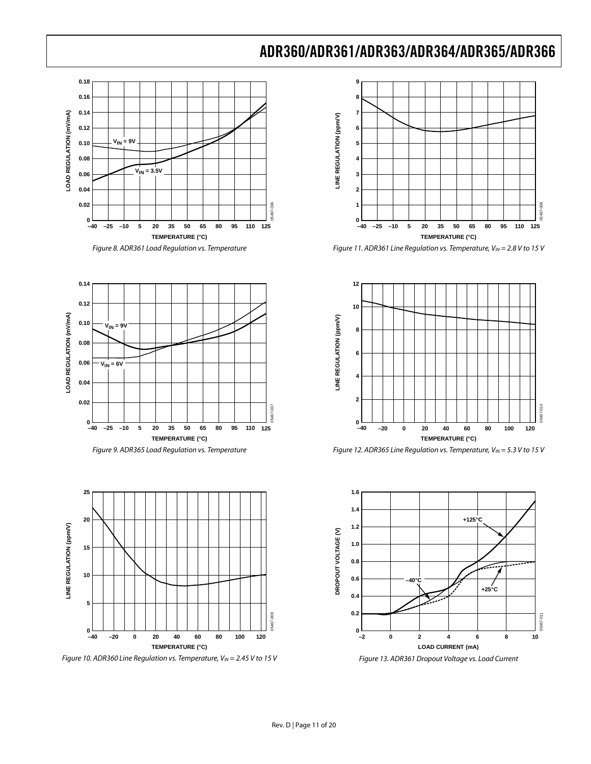![](_page_10_Figure_1.jpeg)

![](_page_10_Figure_2.jpeg)

![](_page_10_Figure_3.jpeg)

![](_page_10_Figure_4.jpeg)

![](_page_10_Figure_5.jpeg)

Figure 10. ADR360 Line Regulation vs. Temperature,  $V_{IN} = 2.45$  V to 15 V

![](_page_10_Figure_7.jpeg)

Figure 11. ADR361 Line Regulation vs. Temperature,  $V_{IN} = 2.8$  V to 15 V

![](_page_10_Figure_9.jpeg)

Figure 12. ADR365 Line Regulation vs. Temperature,  $V_{IN} = 5.3$  V to 15 V

![](_page_10_Figure_11.jpeg)

Figure 13. ADR361 Dropout Voltage vs. Load Current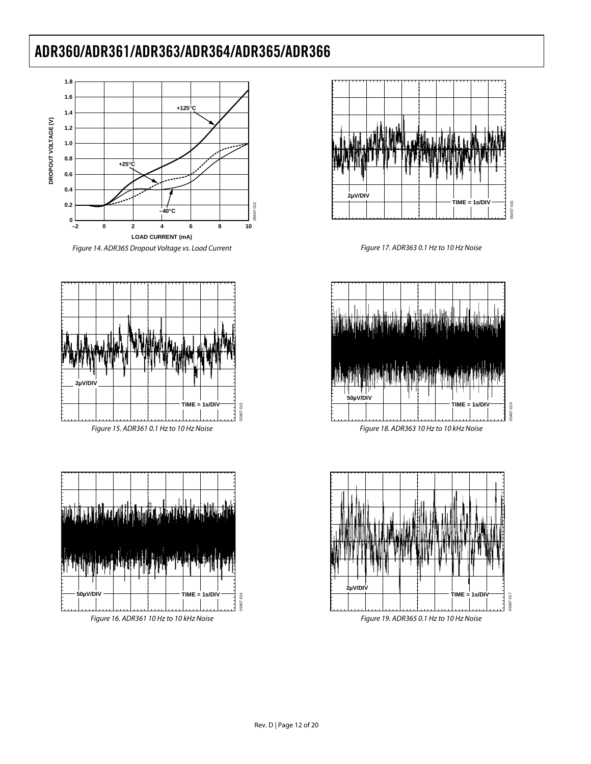![](_page_11_Figure_1.jpeg)

![](_page_11_Figure_2.jpeg)

![](_page_11_Figure_3.jpeg)

![](_page_11_Figure_4.jpeg)

Figure 17. ADR363 0.1 Hz to 10 Hz Noise

![](_page_11_Figure_6.jpeg)

![](_page_11_Figure_7.jpeg)

Figure 19. ADR365 0.1 Hz to 10 Hz Noise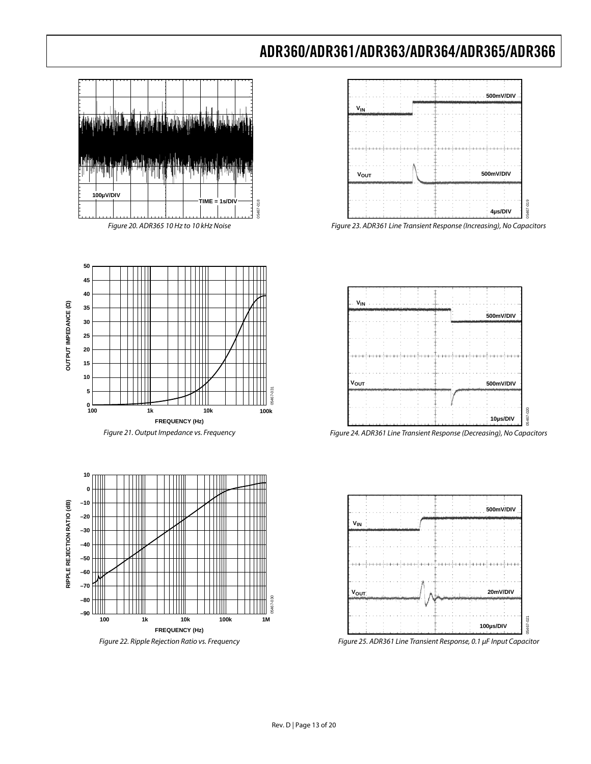![](_page_12_Figure_1.jpeg)

**50 45 40** OUTPUT IMPEDANCE (Q) **OUTPUT IMPEDANCE (Ω) 35 30 25 20 15 10 5 100ko**<br>100 **100ko 100ko 100ko 100ko 100ko 100ko 100ko 100ko 100ko** 100ko 100ko 100ko 100ko 100ko 100ko 100ko 100ko 100k<br>100ko 100ko 100ko 100ko 100ko 100ko 100ko 100ko 100ko 100ko 100ko 100ko 100ko 100ko 100ko 100ko 100ko  $\frac{1}{100}$ **1k 10k FREQUENCY (Hz)**

Figure 21. Output Impedance vs. Frequency

![](_page_12_Figure_4.jpeg)

Figure 22. Ripple Rejection Ratio vs. Frequency

![](_page_12_Figure_6.jpeg)

Figure 23. ADR361 Line Transient Response (Increasing), No Capacitors

![](_page_12_Figure_8.jpeg)

![](_page_12_Figure_9.jpeg)

![](_page_12_Figure_10.jpeg)

![](_page_12_Figure_11.jpeg)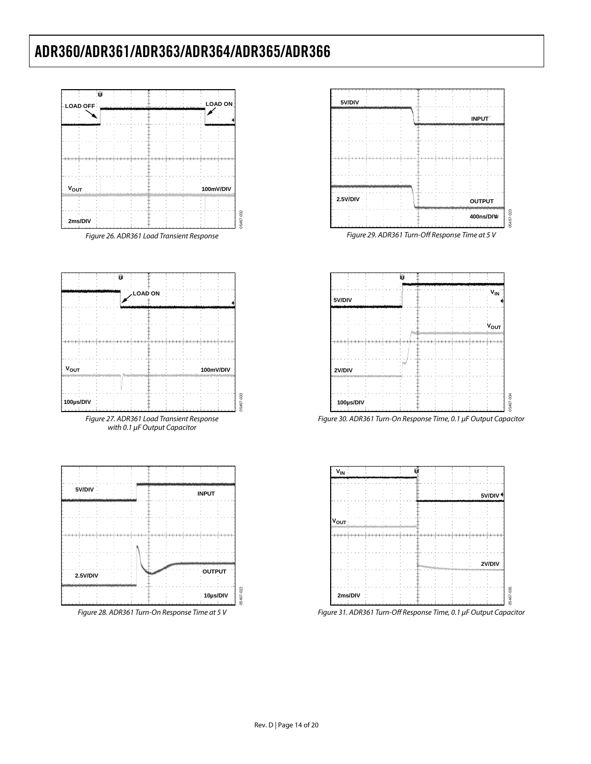![](_page_13_Figure_1.jpeg)

![](_page_13_Figure_2.jpeg)

![](_page_13_Figure_3.jpeg)

![](_page_13_Figure_4.jpeg)

![](_page_13_Figure_5.jpeg)

![](_page_13_Figure_6.jpeg)

Figure 29. ADR361 Turn-Off Response Time at 5 V

![](_page_13_Figure_8.jpeg)

Figure 30. ADR361 Turn-On Response Time, 0.1 μF Output Capacitor

![](_page_13_Figure_10.jpeg)

Figure 31. ADR361 Turn-Off Response Time, 0.1 μF Output Capacitor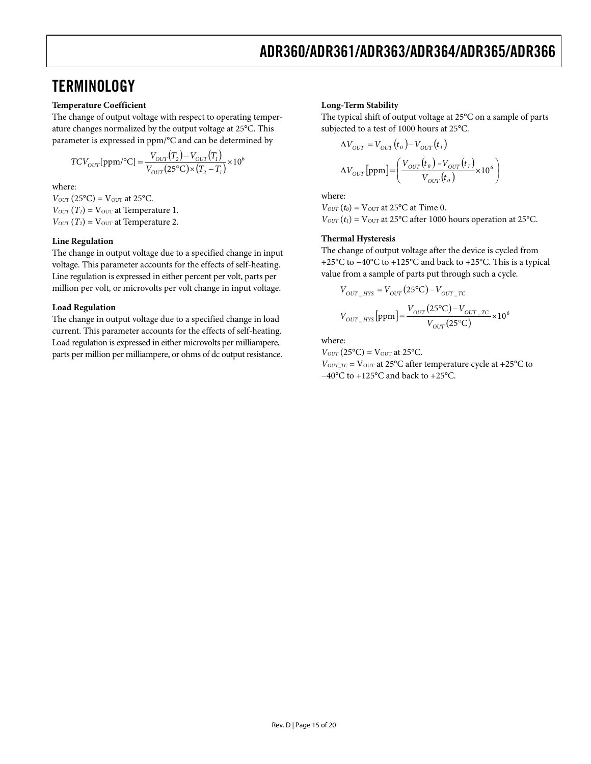# <span id="page-14-0"></span>**TERMINOLOGY**

#### **Temperature Coefficient**

The change of output voltage with respect to operating temperature changes normalized by the output voltage at 25°C. This parameter is expressed in ppm/°C and can be determined by

$$
TCV_{OUT}[\text{ppm/}{}^{\circ}\text{C}] = \frac{V_{OUT}(T_2) - V_{OUT}(T_1)}{V_{OUT}(25^{\circ}\text{C}) \times (T_2 - T_1)} \times 10^6
$$

where:

 $V_{OUT}$  (25 $^{\circ}$ C) =  $V_{OUT}$  at 25 $^{\circ}$ C.  $V_{OUT}(T_1) = V_{OUT}$  at Temperature 1.  $V_{OUT}$  ( $T_2$ ) =  $V_{OUT}$  at Temperature 2.

#### **Line Regulation**

The change in output voltage due to a specified change in input voltage. This parameter accounts for the effects of self-heating. Line regulation is expressed in either percent per volt, parts per million per volt, or microvolts per volt change in input voltage.

#### **Load Regulation**

The change in output voltage due to a specified change in load current. This parameter accounts for the effects of self-heating. Load regulation is expressed in either microvolts per milliampere, parts per million per milliampere, or ohms of dc output resistance.

#### **Long-Term Stability**

The typical shift of output voltage at 25°C on a sample of parts subjected to a test of 1000 hours at 25°C.

$$
\Delta V_{OUT} = V_{OUT}(t_o) - V_{OUT}(t_1)
$$
  

$$
\Delta V_{OUT} [ppm] = \left(\frac{V_{OUT}(t_o) - V_{OUT}(t_1)}{V_{OUT}(t_o)} \times 10^6\right)
$$

where:

 $V_{OUT}(t_0) = V_{OUT}$  at 25 $°C$  at Time 0.  $V_{OUT}(t_1) = V_{OUT}$  at 25°C after 1000 hours operation at 25°C.

#### **Thermal Hysteresis**

The change of output voltage after the device is cycled from +25°C to −40°C to +125°C and back to +25°C. This is a typical value from a sample of parts put through such a cycle.

$$
V_{OUT\_HYS} = V_{OUT} (25^{\circ}\text{C}) - V_{OUT\_TC}
$$
  

$$
V_{OUT\_HYS} [\text{ppm}] = \frac{V_{OUT} (25^{\circ}\text{C}) - V_{OUT\_TC}}{V_{OUT} (25^{\circ}\text{C})} \times 10^6
$$

where:

 $V_{OUT}$  (25 $^{\circ}$ C) =  $V_{OUT}$  at 25 $^{\circ}$ C.  $V_{OUT\_TC}$  =  $V_{OUT}$  at 25 $°C$  after temperature cycle at +25 $°C$  to −40°C to +125°C and back to +25°C.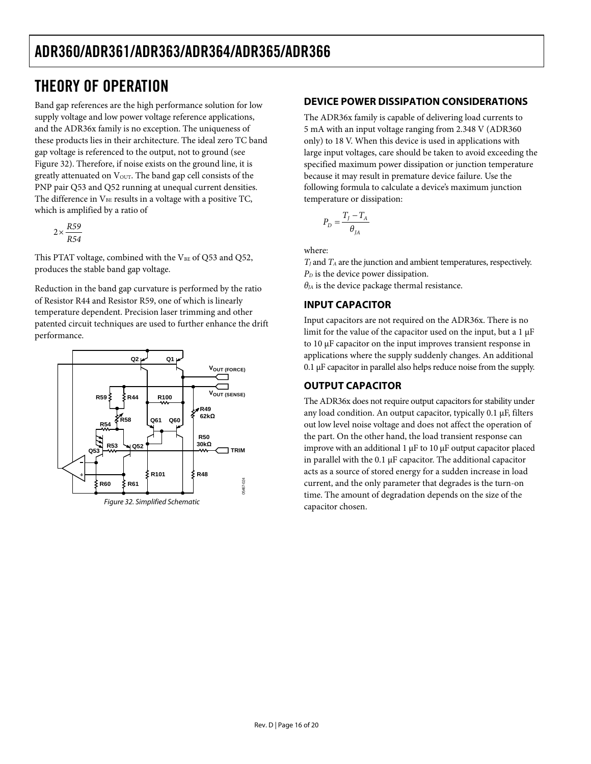# <span id="page-15-0"></span>THEORY OF OPERATION

Band gap references are the high performance solution for low supply voltage and low power voltage reference applications, and the ADR36x family is no exception. The uniqueness of these products lies in their architecture. The ideal zero TC band gap voltage is referenced to the output, not to ground (see [Figure 32](#page-15-1)). Therefore, if noise exists on the ground line, it is greatly attenuated on  $V_{\text{OUT}}$ . The band gap cell consists of the PNP pair Q53 and Q52 running at unequal current densities. The difference in  $V_{BE}$  results in a voltage with a positive TC, which is amplified by a ratio of

$$
2 \times \frac{R59}{R54}
$$

This PTAT voltage, combined with the  $V_{BE}$  of Q53 and Q52, produces the stable band gap voltage.

Reduction in the band gap curvature is performed by the ratio of Resistor R44 and Resistor R59, one of which is linearly temperature dependent. Precision laser trimming and other patented circuit techniques are used to further enhance the drift performance.

<span id="page-15-1"></span>![](_page_15_Figure_6.jpeg)

## **DEVICE POWER DISSIPATION CONSIDERATIONS**

The ADR36x family is capable of delivering load currents to 5 mA with an input voltage ranging from 2.348 V (ADR360 only) to 18 V. When this device is used in applications with large input voltages, care should be taken to avoid exceeding the specified maximum power dissipation or junction temperature because it may result in premature device failure. Use the following formula to calculate a device's maximum junction temperature or dissipation:

$$
P_D = \frac{T_I - T_A}{\theta_{JA}}
$$

where:

 $T_I$  and  $T_A$  are the junction and ambient temperatures, respectively.  $P<sub>D</sub>$  is the device power dissipation.

 $\theta_{JA}$  is the device package thermal resistance.

## **INPUT CAPACITOR**

Input capacitors are not required on the ADR36x. There is no limit for the value of the capacitor used on the input, but a 1 μF to 10 μF capacitor on the input improves transient response in applications where the supply suddenly changes. An additional 0.1 μF capacitor in parallel also helps reduce noise from the supply.

## **OUTPUT CAPACITOR**

The ADR36x does not require output capacitors for stability under any load condition. An output capacitor, typically 0.1 μF, filters out low level noise voltage and does not affect the operation of the part. On the other hand, the load transient response can improve with an additional 1 μF to 10 μF output capacitor placed in parallel with the 0.1 μF capacitor. The additional capacitor acts as a source of stored energy for a sudden increase in load current, and the only parameter that degrades is the turn-on time. The amount of degradation depends on the size of the capacitor chosen.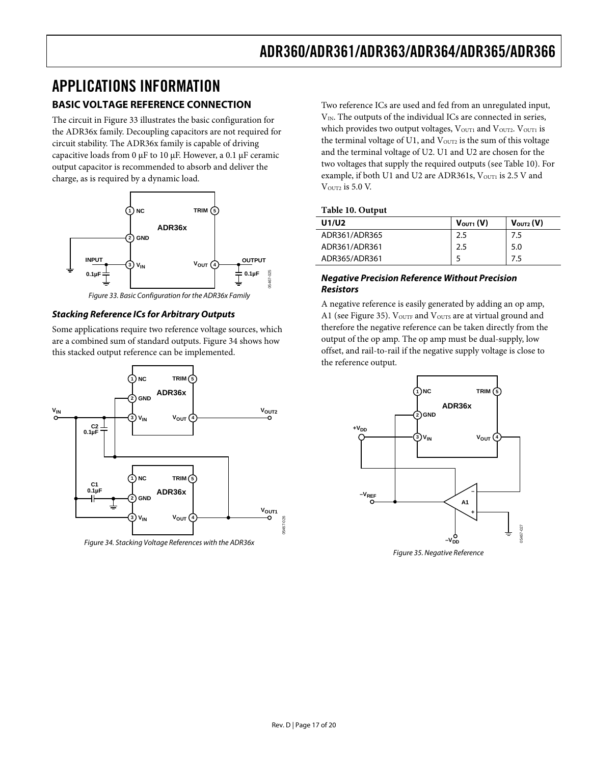# <span id="page-16-0"></span>APPLICATIONS INFORMATION **BASIC VOLTAGE REFERENCE CONNECTION**

The circuit in [Figure 33](#page-16-1) illustrates the basic configuration for the ADR36x family. Decoupling capacitors are not required for circuit stability. The ADR36x family is capable of driving capacitive loads from 0 μF to 10 μF. However, a 0.1 μF ceramic output capacitor is recommended to absorb and deliver the charge, as is required by a dynamic load.

<span id="page-16-3"></span>![](_page_16_Figure_3.jpeg)

Figure 33. Basic Configuration for the ADR36x Family

#### <span id="page-16-1"></span>**Stacking Reference ICs for Arbitrary Outputs**

Some applications require two reference voltage sources, which are a combined sum of standard outputs. [Figure 34](#page-16-2) shows how this stacked output reference can be implemented.

![](_page_16_Figure_7.jpeg)

<span id="page-16-4"></span><span id="page-16-2"></span>Figure 34. Stacking Voltage References with the ADR36x

Two reference ICs are used and fed from an unregulated input, V<sub>IN</sub>. The outputs of the individual ICs are connected in series, which provides two output voltages,  $V<sub>OUT1</sub>$  and  $V<sub>OUT2</sub>$ .  $V<sub>OUT1</sub>$  is the terminal voltage of U1, and  $V_{\text{OUT2}}$  is the sum of this voltage and the terminal voltage of U2. U1 and U2 are chosen for the two voltages that supply the required outputs (see [Table 10](#page-16-3)). For example, if both U1 and U2 are ADR361s, VouT1 is 2.5 V and V<sub>OUT2</sub> is 5.0 V.

#### **Table 10. Output**

| U1/U2         | $V_{\text{OUT1}}(V)$ | $V_{\text{OUT2}}(V)$ |
|---------------|----------------------|----------------------|
| ADR361/ADR365 | 2.5                  | 7.5                  |
| ADR361/ADR361 | 2.5                  | 5.0                  |
| ADR365/ADR361 |                      | 7.5                  |

#### **Negative Precision Reference Without Precision Resistors**

A negative reference is easily generated by adding an op amp, A1 (see [Figure 35](#page-16-4)).  $V_{\text{OUTF}}$  and  $V_{\text{OUTS}}$  are at virtual ground and therefore the negative reference can be taken directly from the output of the op amp. The op amp must be dual-supply, low offset, and rail-to-rail if the negative supply voltage is close to the reference output.

![](_page_16_Figure_14.jpeg)

Figure 35. Negative Reference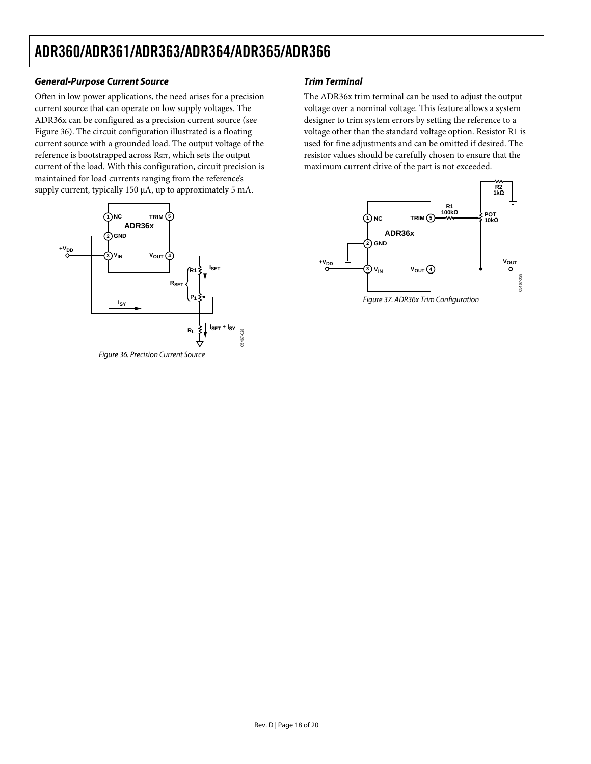## **General-Purpose Current Source**

Often in low power applications, the need arises for a precision current source that can operate on low supply voltages. The ADR36x can be configured as a precision current source (see [Figure 36](#page-17-0)). The circuit configuration illustrated is a floating current source with a grounded load. The output voltage of the reference is bootstrapped across R<sub>SET</sub>, which sets the output current of the load. With this configuration, circuit precision is maintained for load currents ranging from the reference's supply current, typically 150 μA, up to approximately 5 mA.

<span id="page-17-0"></span>![](_page_17_Figure_3.jpeg)

## **Trim Terminal**

The ADR36x trim terminal can be used to adjust the output voltage over a nominal voltage. This feature allows a system designer to trim system errors by setting the reference to a voltage other than the standard voltage option. Resistor R1 is used for fine adjustments and can be omitted if desired. The resistor values should be carefully chosen to ensure that the maximum current drive of the part is not exceeded.

![](_page_17_Figure_6.jpeg)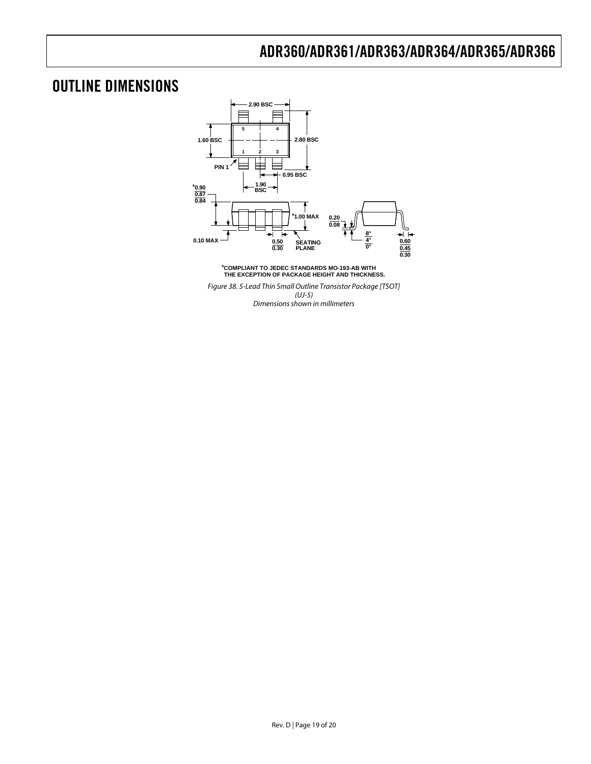# <span id="page-18-0"></span>OUTLINE DIMENSIONS

![](_page_18_Figure_2.jpeg)

**\*COMPLIANT TO JEDEC STANDARDS MO-193-AB WITH THE EXCEPTION OF PACKAGE HEIGHT AND THICKNESS.**

Figure 38. 5-Lead Thin Small Outline Transistor Package [TSOT] (UJ-5) Dimensions shown in millimeters